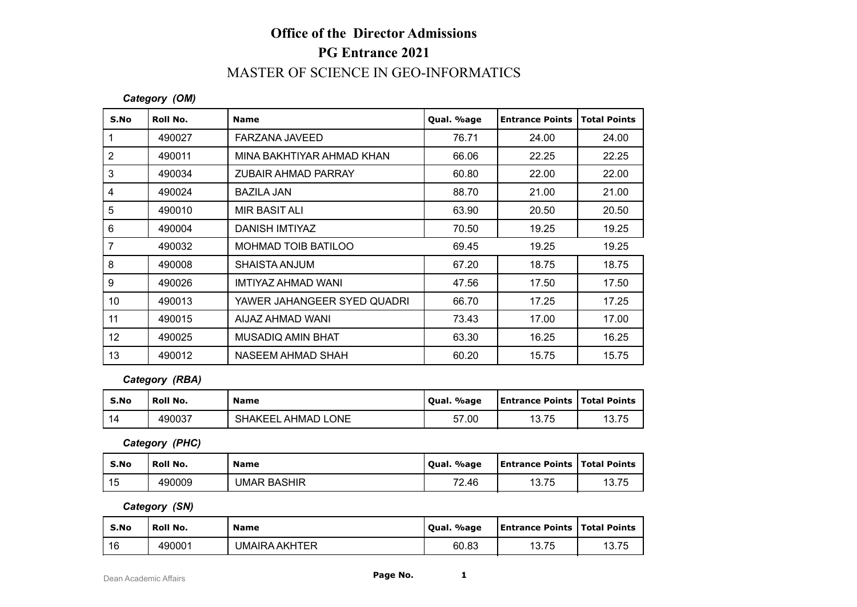# **Office of the Director Admissions PG Entrance 2021** MASTER OF SCIENCE IN GEO-INFORMATICS

### *Category (OM)*

|                         |                | <b>Office of the Director Admissions</b>    |            |                        |                     |  |
|-------------------------|----------------|---------------------------------------------|------------|------------------------|---------------------|--|
|                         |                | <b>PG Entrance 2021</b>                     |            |                        |                     |  |
|                         |                | <b>MASTER OF SCIENCE IN GEO-INFORMATICS</b> |            |                        |                     |  |
|                         | Category (OM)  |                                             |            |                        |                     |  |
| S.No                    | Roll No.       | <b>Name</b>                                 | Qual. %age | <b>Entrance Points</b> | <b>Total Points</b> |  |
| $\mathbf{1}$            | 490027         | <b>FARZANA JAVEED</b>                       | 76.71      | 24.00                  | 24.00               |  |
| $\mathbf 2$             | 490011         | MINA BAKHTIYAR AHMAD KHAN                   | 66.06      | 22.25                  | 22.25               |  |
| $\mathfrak{S}$          | 490034         | <b>ZUBAIR AHMAD PARRAY</b>                  | 60.80      | 22.00                  | 22.00               |  |
| $\overline{\mathbf{4}}$ | 490024         | <b>BAZILA JAN</b>                           | 88.70      | 21.00                  | 21.00               |  |
| 5                       | 490010         | <b>MIR BASIT ALI</b>                        | 63.90      | 20.50                  | 20.50               |  |
| 6                       | 490004         | <b>DANISH IMTIYAZ</b>                       | 70.50      | 19.25                  | 19.25               |  |
| $\overline{7}$          | 490032         | <b>MOHMAD TOIB BATILOO</b>                  | 69.45      | 19.25                  | 19.25               |  |
| 8                       | 490008         | SHAISTA ANJUM                               | 67.20      | 18.75                  | 18.75               |  |
| $\boldsymbol{9}$        | 490026         | IMTIYAZ AHMAD WANI                          | 47.56      | 17.50                  | 17.50               |  |
| 10                      | 490013         | YAWER JAHANGEER SYED QUADRI                 | 66.70      | 17.25                  | 17.25               |  |
| 11                      | 490015         | AIJAZ AHMAD WANI                            | 73.43      | 17.00                  | 17.00               |  |
| 12                      | 490025         | <b>MUSADIQ AMIN BHAT</b>                    | 63.30      | 16.25                  | 16.25               |  |
| 13                      | 490012         | <b>NASEEM AHMAD SHAH</b>                    | 60.20      | 15.75                  | 15.75               |  |
|                         | Category (RBA) |                                             |            |                        |                     |  |
| S.No                    | Roll No.       | <b>Name</b>                                 | Qual. %age | <b>Entrance Points</b> | <b>Total Points</b> |  |
| 14                      | 490037         | SHAKEEL AHMAD LONE                          | 57.00      | 13.75                  | 13.75               |  |
|                         | Category (PHC) |                                             |            |                        |                     |  |
| S.No                    | Roll No.       | <b>Name</b>                                 | Qual. %age | <b>Entrance Points</b> | <b>Total Points</b> |  |
| 15                      | 490009         | <b>UMAR BASHIR</b>                          | 72.46      | 13.75                  | 13.75               |  |
|                         | Category (SN)  |                                             |            |                        |                     |  |
|                         |                |                                             |            |                        |                     |  |

#### *Category (RBA)*

| S.No | ' Roll No. | <b>Name</b>        | Qual. %age | <b>Entrance Points   Total Points</b> |       |
|------|------------|--------------------|------------|---------------------------------------|-------|
| 14   | 490037     | SHAKEEL AHMAD LONE | 57.00      | 75<br>10.70                           | 13.75 |

| 12   | 490025         | MUSADIQ AMIN BHAT  | 63.30      | 16.25                          | 16.25               |
|------|----------------|--------------------|------------|--------------------------------|---------------------|
| 13   | 490012         | NASEEM AHMAD SHAH  | 60.20      | 15.75                          | 15.75               |
|      | Category (RBA) |                    |            |                                |                     |
| S.No | Roll No.       | <b>Name</b>        | Qual. %age | Entrance Points                | <b>Total Points</b> |
| 14   | 490037         | SHAKEEL AHMAD LONE | 57.00      | 13.75                          | 13.75               |
|      | Category (PHC) |                    |            |                                |                     |
| S.No | Roll No.       | <b>Name</b>        | Qual. %age | Entrance Points   Total Points |                     |
| 15   | 490009         | <b>UMAR BASHIR</b> | 72.46      | 13.75                          | 13.75               |

| S.No                  | Roll No.       | <b>Name</b>          | Qual. %age | <b>Entrance Points</b> | <b>Total Points</b> |
|-----------------------|----------------|----------------------|------------|------------------------|---------------------|
| 14                    | 490037         | SHAKEEL AHMAD LONE   | 57.00      | 13.75                  | 13.75               |
|                       | Category (PHC) |                      |            |                        |                     |
| S.No                  | Roll No.       | <b>Name</b>          | Qual. %age | <b>Entrance Points</b> | <b>Total Points</b> |
| 15                    | 490009         | <b>UMAR BASHIR</b>   | 72.46      | 13.75                  | 13.75               |
|                       | Category (SN)  |                      |            |                        |                     |
| S.No                  | Roll No.       | <b>Name</b>          | Qual. %age | <b>Entrance Points</b> | <b>Total Points</b> |
| 16                    | 490001         | <b>UMAIRA AKHTER</b> | 60.83      | 13.75                  | 13.75               |
| Dean Academic Affairs |                | Page No.             | 1          |                        |                     |